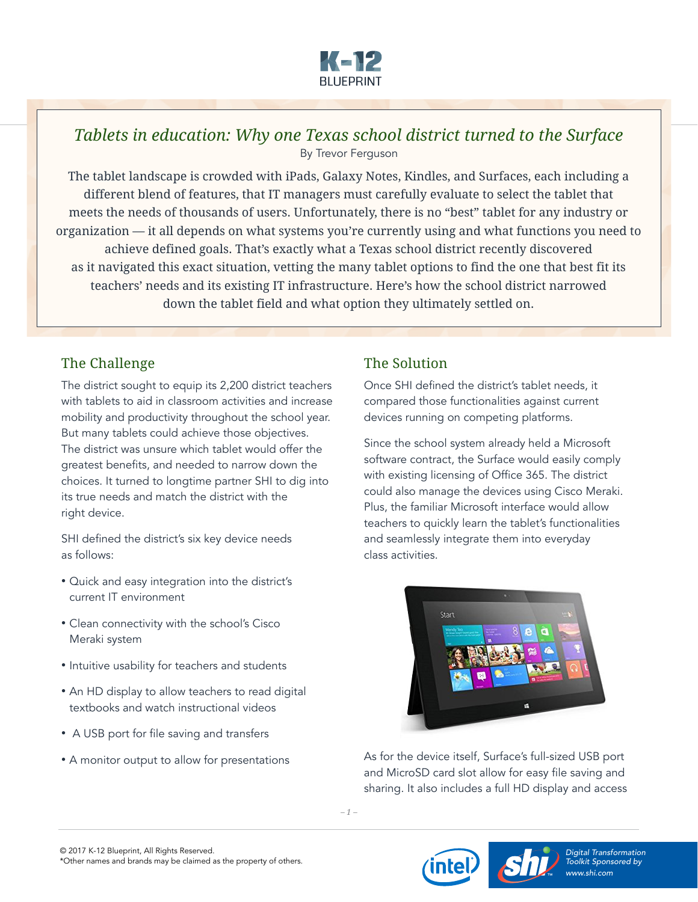

## *Tablets in education: Why one Texas school district turned to the Surface* By Trevor Ferguson

The tablet landscape is crowded with iPads, Galaxy Notes, Kindles, and Surfaces, each including a different blend of features, that IT managers must carefully evaluate to select the tablet that meets the needs of thousands of users. Unfortunately, there is no "best" tablet for any industry or organization — it all depends on what systems you're currently using and what functions you need to achieve defined goals. That's exactly what a Texas school district recently discovered as it navigated this exact situation, vetting the many tablet options to find the one that best fit its teachers' needs and its existing IT infrastructure. Here's how the school district narrowed down the tablet field and what option they ultimately settled on.

## The Challenge

The district sought to equip its 2,200 district teachers with tablets to aid in classroom activities and increase mobility and productivity throughout the school year. But many tablets could achieve those objectives. The district was unsure which tablet would offer the greatest benefits, and needed to narrow down the choices. It turned to longtime partner SHI to dig into its true needs and match the district with the right device.

SHI defined the district's six key device needs as follows:

- Quick and easy integration into the district's current IT environment
- Clean connectivity with the school's Cisco Meraki system
- Intuitive usability for teachers and students
- An HD display to allow teachers to read digital textbooks and watch instructional videos
- A USB port for file saving and transfers
- A monitor output to allow for presentations

## The Solution

Once SHI defined the district's tablet needs, it compared those functionalities against current devices running on competing platforms.

Since the school system already held a Microsoft software contract, the Surface would easily comply with existing licensing of Office 365. The district could also manage the devices using Cisco Meraki. Plus, the familiar Microsoft interface would allow teachers to quickly learn the tablet's functionalities and seamlessly integrate them into everyday class activities.



As for the device itself, Surface's full-sized USB port and MicroSD card slot allow for easy file saving and sharing. It also includes a full HD display and access

*– 1 –*